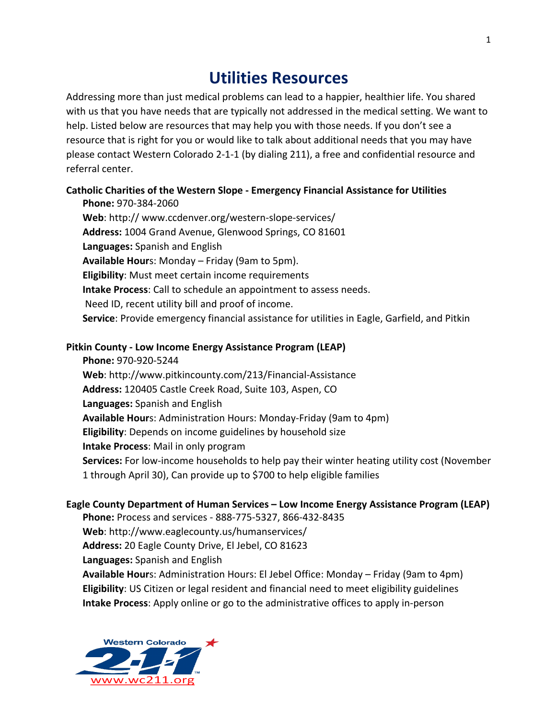# **Utilities Resources**

Addressing more than just medical problems can lead to a happier, healthier life. You shared with us that you have needs that are typically not addressed in the medical setting. We want to help. Listed below are resources that may help you with those needs. If you don't see a resource that is right for you or would like to talk about additional needs that you may have please contact Western Colorado 2-1-1 (by dialing 211), a free and confidential resource and referral center.

## **Catholic Charities of the Western Slope - Emergency Financial Assistance for Utilities**

**Phone:** 970-384-2060 **Web**: http:// www.ccdenver.org/western-slope-services/ Address: 1004 Grand Avenue, Glenwood Springs, CO 81601 **Languages:** Spanish and English **Available Hour**s: Monday – Friday (9am to 5pm). **Eligibility:** Must meet certain income requirements **Intake Process:** Call to schedule an appointment to assess needs. Need ID, recent utility bill and proof of income. **Service**: Provide emergency financial assistance for utilities in Eagle, Garfield, and Pitkin

### **Pitkin County - Low Income Energy Assistance Program (LEAP)**

**Phone:** 970-920-5244 Web: http://www.pitkincounty.com/213/Financial-Assistance Address: 120405 Castle Creek Road, Suite 103, Aspen, CO **Languages:** Spanish and English **Available Hour**s: Administration Hours: Monday-Friday (9am to 4pm) **Eligibility**: Depends on income guidelines by household size **Intake Process:** Mail in only program **Services:** For low-income households to help pay their winter heating utility cost (November 1 through April 30), Can provide up to \$700 to help eligible families

# **Eagle County Department of Human Services – Low Income Energy Assistance Program (LEAP)**

**Phone:** Process and services - 888-775-5327, 866-432-8435 Web: http://www.eaglecounty.us/humanservices/

Address: 20 Eagle County Drive, El Jebel, CO 81623

**Languages:** Spanish and English

**Available Hour**s: Administration Hours: El Jebel Office: Monday – Friday (9am to 4pm) **Eligibility:** US Citizen or legal resident and financial need to meet eligibility guidelines **Intake Process:** Apply online or go to the administrative offices to apply in-person